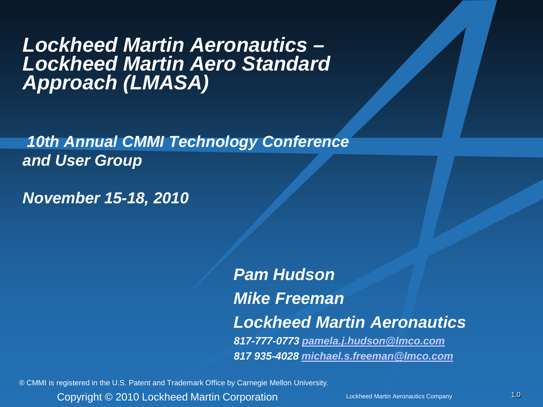# *Lockheed Martin Aeronautics – Lockheed Martin Aero Standard Approach (LMASA)*

*10th Annual CMMI Technology Conference and User Group*

*November 15-18, 2010*

*Pam Hudson Mike Freeman Lockheed Martin Aeronautics 817-777-0773 [pamela.j.hudson@lmco.com](mailto:pamela.j.hudson@lmco.com) 817 935-4028 [michael.s.freeman@lmco.com](mailto:michael.s.freeman@lmco.com)*

® CMMI is registered in the U.S. Patent and Trademark Office by Carnegie Mellon University.

Copyright © 2010 Lockheed Martin Corporation Lockheed Martin Aeronautics Company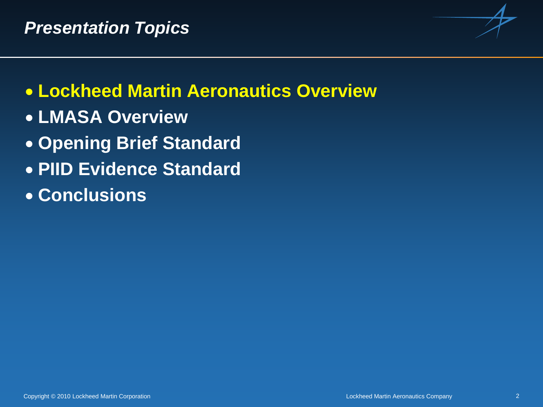

# • **Lockheed Martin Aeronautics Overview**

- **LMASA Overview**
- **Opening Brief Standard**
- **PIID Evidence Standard**
- **Conclusions**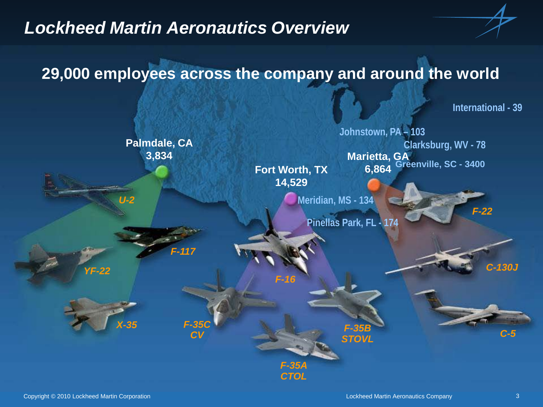#### *Lockheed Martin Aeronautics Overview*

#### **29,000 employees across the company and around the world**

**International - 39**

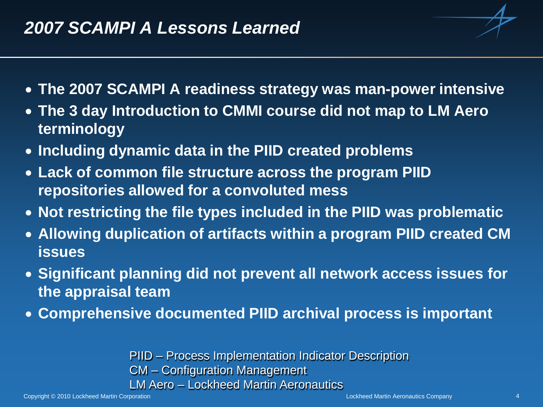#### *2007 SCAMPI A Lessons Learned*



- **The 3 day Introduction to CMMI course did not map to LM Aero terminology**
- **Including dynamic data in the PIID created problems**
- **Lack of common file structure across the program PIID repositories allowed for a convoluted mess**
- **Not restricting the file types included in the PIID was problematic**
- **Allowing duplication of artifacts within a program PIID created CM issues**
- **Significant planning did not prevent all network access issues for the appraisal team**
- **Comprehensive documented PIID archival process is important**

PIID – Process Implementation Indicator Description CM – Configuration Management LM Aero – Lockheed Martin Aeronautics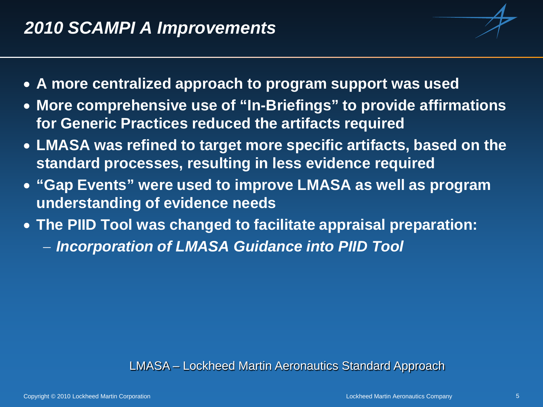- 
- **A more centralized approach to program support was used**
- **More comprehensive use of "In-Briefings" to provide affirmations for Generic Practices reduced the artifacts required**
- **LMASA was refined to target more specific artifacts, based on the standard processes, resulting in less evidence required**
- **"Gap Events" were used to improve LMASA as well as program understanding of evidence needs**
- **The PIID Tool was changed to facilitate appraisal preparation:**
	- − *Incorporation of LMASA Guidance into PIID Tool*

#### LMASA – Lockheed Martin Aeronautics Standard Approach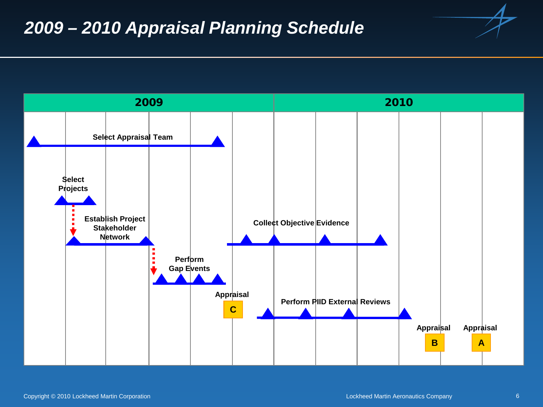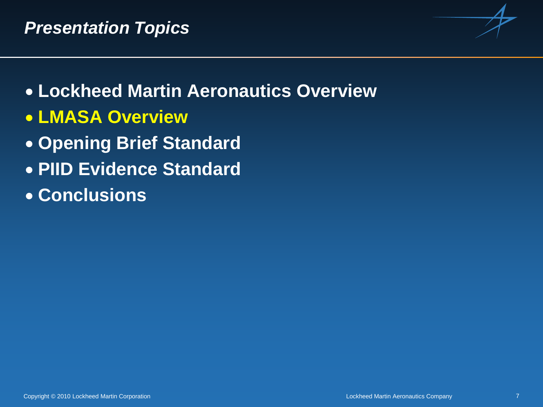

- **Lockheed Martin Aeronautics Overview**
- **LMASA Overview**
- **Opening Brief Standard**
- **PIID Evidence Standard**
- **Conclusions**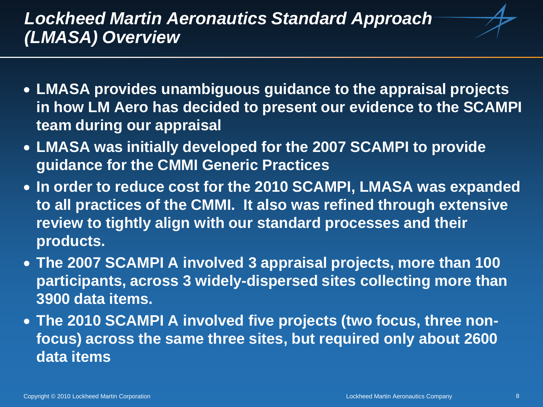## *Lockheed Martin Aeronautics Standard Approach (LMASA) Overview*

- **LMASA provides unambiguous guidance to the appraisal projects in how LM Aero has decided to present our evidence to the SCAMPI team during our appraisal**
- **LMASA was initially developed for the 2007 SCAMPI to provide guidance for the CMMI Generic Practices**
- **In order to reduce cost for the 2010 SCAMPI, LMASA was expanded to all practices of the CMMI. It also was refined through extensive review to tightly align with our standard processes and their products.**
- **The 2007 SCAMPI A involved 3 appraisal projects, more than 100 participants, across 3 widely-dispersed sites collecting more than 3900 data items.**
- **The 2010 SCAMPI A involved five projects (two focus, three nonfocus) across the same three sites, but required only about 2600 data items**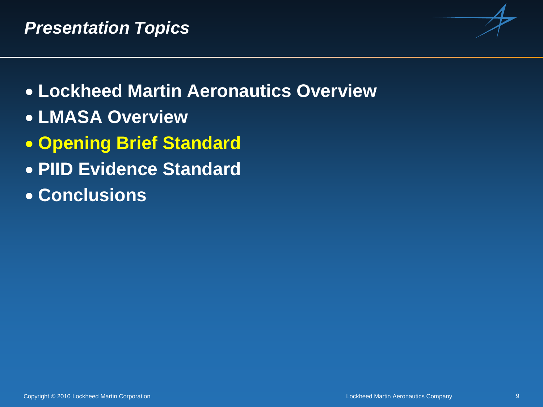

- **Lockheed Martin Aeronautics Overview**
- **LMASA Overview**
- **Opening Brief Standard**
- **PIID Evidence Standard**
- **Conclusions**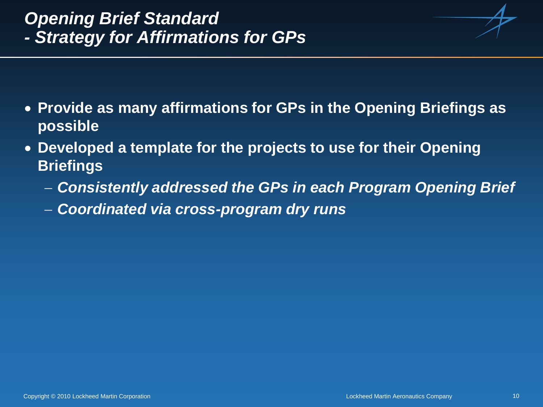# *Opening Brief Standard - Strategy for Affirmations for GPs*

- **Provide as many affirmations for GPs in the Opening Briefings as possible**
- **Developed a template for the projects to use for their Opening Briefings**
	- − *Consistently addressed the GPs in each Program Opening Brief*
	- − *Coordinated via cross-program dry runs*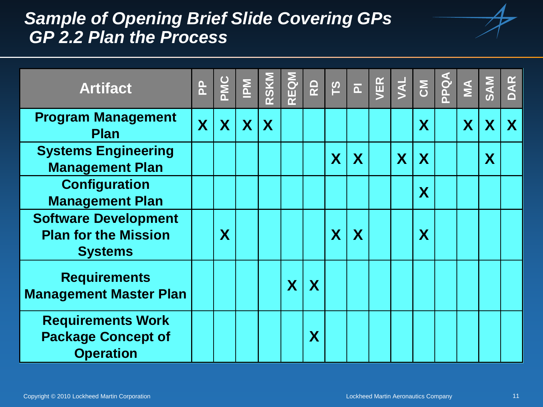#### *Sample of Opening Brief Slide Covering GPs GP 2.2 Plan the Process*

| <b>Artifact</b>                                                              | $\mathbf{a}$ | PMC | $\sum_{i=1}^{N}$ | RSKM | REQM | <b>Q</b>    | 51                      | $\overline{\mathtt{a}}$ | VER | <b>JAL</b> | $\overline{5}$          | para | $\sum$ | <b>SAM</b> | DAR |
|------------------------------------------------------------------------------|--------------|-----|------------------|------|------|-------------|-------------------------|-------------------------|-----|------------|-------------------------|------|--------|------------|-----|
| <b>Program Management</b><br><b>Plan</b>                                     | X            | X   | $\mathbf{X}$     | X    |      |             |                         |                         |     |            | X                       |      | X      | X          | X   |
| <b>Systems Engineering</b><br><b>Management Plan</b>                         |              |     |                  |      |      |             | $\overline{\mathsf{X}}$ | X                       |     | X          | X                       |      |        | X          |     |
| <b>Configuration</b><br><b>Management Plan</b>                               |              |     |                  |      |      |             |                         |                         |     |            | X                       |      |        |            |     |
| <b>Software Development</b><br><b>Plan for the Mission</b><br><b>Systems</b> |              | X   |                  |      |      |             | $\overline{\mathbf{X}}$ | X                       |     |            | $\overline{\mathsf{X}}$ |      |        |            |     |
| <b>Requirements</b><br><b>Management Master Plan</b>                         |              |     |                  |      | X    | $\mathbf X$ |                         |                         |     |            |                         |      |        |            |     |
| <b>Requirements Work</b><br><b>Package Concept of</b><br><b>Operation</b>    |              |     |                  |      |      | X           |                         |                         |     |            |                         |      |        |            |     |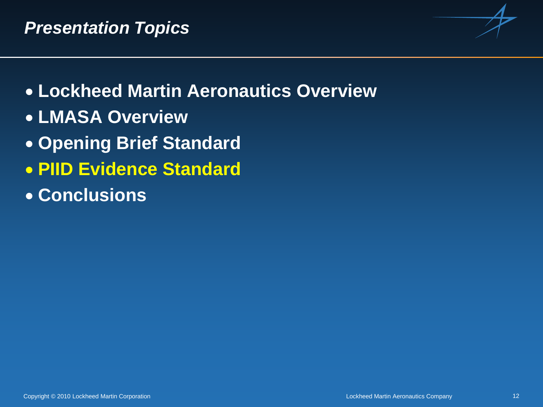

- **Lockheed Martin Aeronautics Overview**
- **LMASA Overview**
- **Opening Brief Standard**
- **PIID Evidence Standard**
- **Conclusions**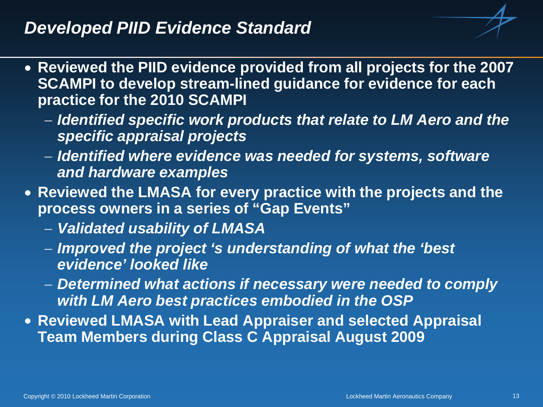#### *Developed PIID Evidence Standard*

- **Reviewed the PIID evidence provided from all projects for the 2007 SCAMPI to develop stream-lined guidance for evidence for each practice for the 2010 SCAMPI**
	- − *Identified specific work products that relate to LM Aero and the specific appraisal projects*
	- − *Identified where evidence was needed for systems, software and hardware examples*
- **Reviewed the LMASA for every practice with the projects and the process owners in a series of "Gap Events"**
	- − *Validated usability of LMASA*
	- − *Improved the project 's understanding of what the 'best evidence' looked like*
	- − *Determined what actions if necessary were needed to comply with LM Aero best practices embodied in the OSP*
- **Reviewed LMASA with Lead Appraiser and selected Appraisal Team Members during Class C Appraisal August 2009**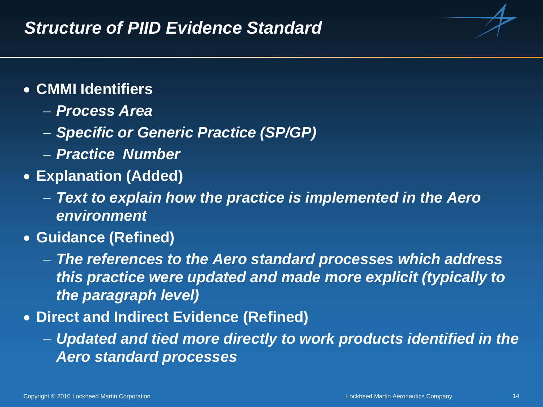

- **CMMI Identifiers**
	- − *Process Area*
	- − *Specific or Generic Practice (SP/GP)*
	- − *Practice Number*
- **Explanation (Added)**
	- − *Text to explain how the practice is implemented in the Aero environment*
- **Guidance (Refined)**
	- − *The references to the Aero standard processes which address this practice were updated and made more explicit (typically to the paragraph level)*
- **Direct and Indirect Evidence (Refined)**
	- − *Updated and tied more directly to work products identified in the Aero standard processes*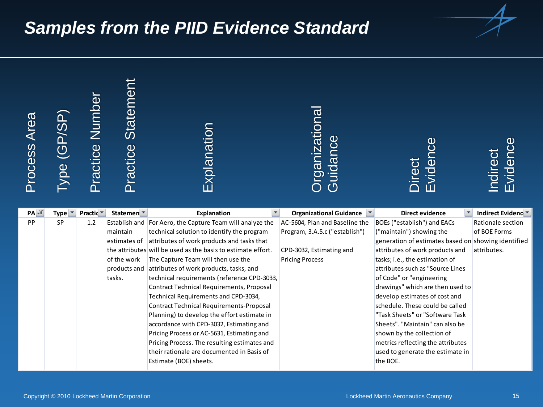#### *Samples from the PIID Evidence Standard*



| Process Area        | $\bar{\mathrm{Type}}$ (GP/SP) | <b>Practice Number</b> | Practice Statement     | Explanation                                                                            | Organizationa<br>Guidance                                  | လ<br>(၂<br>Eviden<br>Direct                                  | Evidenc<br><b>Indirect</b>    |
|---------------------|-------------------------------|------------------------|------------------------|----------------------------------------------------------------------------------------|------------------------------------------------------------|--------------------------------------------------------------|-------------------------------|
| $PA$ $\overline{Y}$ | Type $\mathbf{r}$             | Practic <sup>*</sup>   | Statemen <sup>T</sup>  | ×.<br>Explanation                                                                      | $\overline{\phantom{a}}$<br><b>Organizational Guidance</b> | <b>Direct evidence</b>                                       | Indirect Evidenc <sup>+</sup> |
| PP                  | SP                            | $1.2\,$                |                        | Establish and For Aero, the Capture Team will analyze the                              | AC-5604, Plan and Baseline the                             | BOEs ("establish") and EACs                                  | Rationale section             |
|                     |                               |                        | maintain               | technical solution to identify the program                                             | Program, 3.A.5.c ("establish")                             | ("maintain") showing the                                     | of BOE Forms                  |
|                     |                               |                        | estimates of           | attributes of work products and tasks that                                             |                                                            | generation of estimates based on showing identified          |                               |
|                     |                               |                        |                        | the attributes will be used as the basis to estimate effort.                           | CPD-3032, Estimating and                                   | attributes of work products and                              | attributes.                   |
|                     |                               |                        | of the work            | The Capture Team will then use the                                                     | <b>Pricing Process</b>                                     | tasks; i.e., the estimation of                               |                               |
|                     |                               |                        | products and<br>tasks. | attributes of work products, tasks, and<br>technical requirements (reference CPD-3033, |                                                            | attributes such as "Source Lines<br>of Code" or "engineering |                               |
|                     |                               |                        |                        | Contract Technical Requirements, Proposal                                              |                                                            | drawings" which are then used to                             |                               |
|                     |                               |                        |                        | Technical Requirements and CPD-3034,                                                   |                                                            | develop estimates of cost and                                |                               |
|                     |                               |                        |                        | <b>Contract Technical Requirements-Proposal</b>                                        |                                                            | schedule. These could be called                              |                               |
|                     |                               |                        |                        | Planning) to develop the effort estimate in                                            |                                                            | "Task Sheets" or "Software Task                              |                               |
|                     |                               |                        |                        | accordance with CPD-3032, Estimating and                                               |                                                            | Sheets". "Maintain" can also be                              |                               |
|                     |                               |                        |                        | Pricing Process or AC-5631, Estimating and                                             |                                                            | shown by the collection of                                   |                               |
|                     |                               |                        |                        | Pricing Process. The resulting estimates and                                           |                                                            | metrics reflecting the attributes                            |                               |
|                     |                               |                        |                        | their rationale are documented in Basis of                                             |                                                            | used to generate the estimate in                             |                               |
|                     |                               |                        |                        | Estimate (BOE) sheets.                                                                 |                                                            | the BOE.                                                     |                               |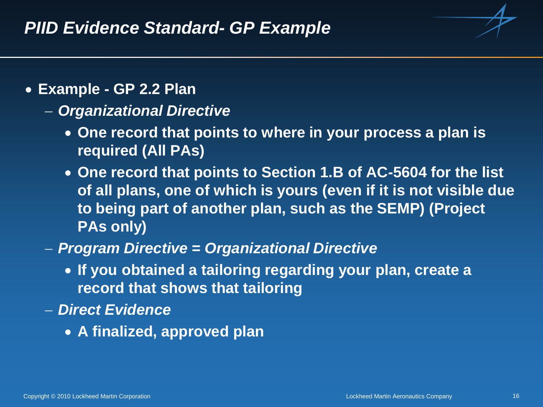

- **Example - GP 2.2 Plan**
	- − *Organizational Directive*
		- **One record that points to where in your process a plan is required (All PAs)**
		- **One record that points to Section 1.B of AC-5604 for the list of all plans, one of which is yours (even if it is not visible due to being part of another plan, such as the SEMP) (Project PAs only)**
	- − *Program Directive = Organizational Directive*
		- **If you obtained a tailoring regarding your plan, create a record that shows that tailoring**
	- − *Direct Evidence*
		- **A finalized, approved plan**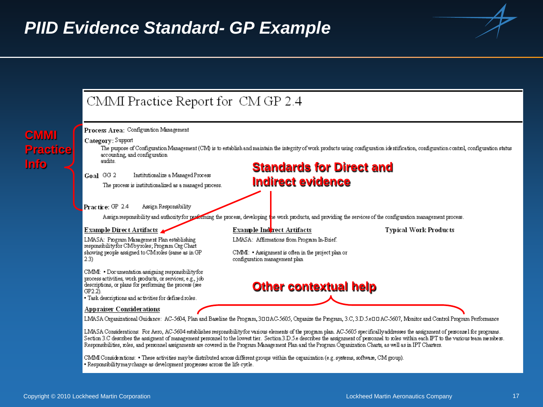

CMM Considerations: • These activities may be distributed across different groups within the organization (e.g. systems, software, CM group). • Responsibility may change as development progresses across the life cycle.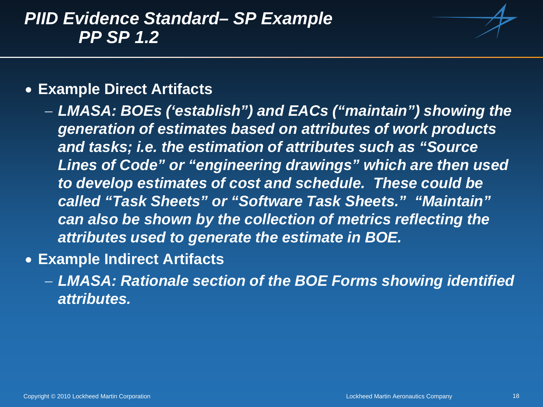#### *PIID Evidence Standard– SP Example PP SP 1.2*



#### • **Example Direct Artifacts**

- − *LMASA: BOEs ('establish") and EACs ("maintain") showing the generation of estimates based on attributes of work products and tasks; i.e. the estimation of attributes such as "Source Lines of Code" or "engineering drawings" which are then used to develop estimates of cost and schedule. These could be called "Task Sheets" or "Software Task Sheets." "Maintain" can also be shown by the collection of metrics reflecting the attributes used to generate the estimate in BOE.*
- **Example Indirect Artifacts**
	- − *LMASA: Rationale section of the BOE Forms showing identified attributes.*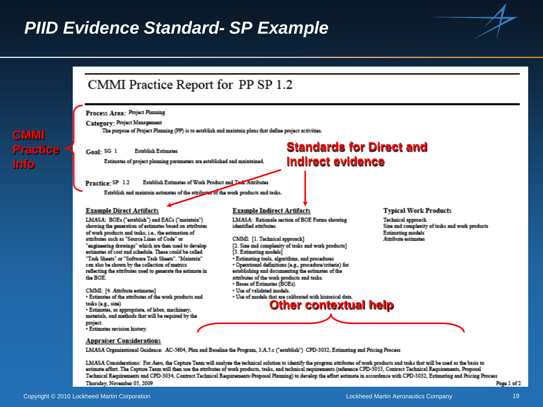#### *PIID Evidence Standard- SP Example*





LMASA Considerations: For Aseo, the Capture Team will analyze the technical solution to identify the program attributes of work products and tasks that will be used as the basis to estimate effort. The Capture Team will then use the attributes of work products, tasks, and technical requirements (reference CPD-3033, Contract Technical Requirements, Proposal Technical Requirements and CPD-3034, Contract Technical Requirements-Proposal Planning) to develop the effort estimate in accordance with CPD-3032, Estimating and Pricing Process Thursday, November 05, 2009 Page 1 of 2

**CMMI**

**Info**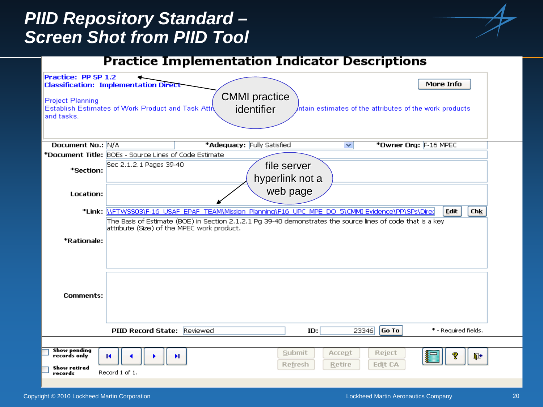### *PIID Repository Standard – Screen Shot from PIID Tool*



#### **Practice Implementation Indicator Descriptions**

| Practice: PP SP 1.2<br><b>Project Planning</b><br>and tasks.          | <b>Classification: Implementation Direct</b><br>Establish Estimates of Work Product and Task Atti | <b>CMMI</b> practice<br>identifier                                                                          |                                |                         |                   | More Info<br>/ntain estimates of the attributes of the work products |  |
|-----------------------------------------------------------------------|---------------------------------------------------------------------------------------------------|-------------------------------------------------------------------------------------------------------------|--------------------------------|-------------------------|-------------------|----------------------------------------------------------------------|--|
| Document No.: N/A                                                     |                                                                                                   | *Adequacy: Fully Satisfied                                                                                  |                                | $\checkmark$            |                   | *Owner Org: F-16 MPEC                                                |  |
|                                                                       | *Document Title: BOEs - Source Lines of Code Estimate                                             |                                                                                                             |                                |                         |                   |                                                                      |  |
| *Section:                                                             | Sec 2.1.2.1 Pages 39-40                                                                           |                                                                                                             | file server<br>hyperlink not a |                         |                   |                                                                      |  |
| Location:                                                             |                                                                                                   |                                                                                                             | web page                       |                         |                   |                                                                      |  |
|                                                                       |                                                                                                   | *Link: \\FTWSS03\F-16 USAF EPAF TEAM\Mission Planning\F16 UPC MPE DO 5\CMMI Evidence\PP\SPs\Dired           |                                |                         |                   | <b>Edit</b><br>Ch <u>k</u>                                           |  |
| *Rationale:                                                           | attribute (Size) of the MPEC work product.                                                        | The Basis of Estimate (BOE) in Section 2.1.2.1 Pg 39-40 demonstrates the source lines of code that is a key |                                |                         |                   |                                                                      |  |
| Comments:                                                             |                                                                                                   |                                                                                                             | ID:                            |                         | Go To<br>23346    | * - Required fields.                                                 |  |
|                                                                       | PIID Record State: Reviewed                                                                       |                                                                                                             |                                |                         |                   |                                                                      |  |
| <b>Show pending</b><br>records only<br><b>Show retired</b><br>records | м<br>Record 1 of 1.                                                                               | ы                                                                                                           | Submit<br><b>Refresh</b>       | Accept<br><b>Retire</b> | Reject<br>Edit CA | Д+                                                                   |  |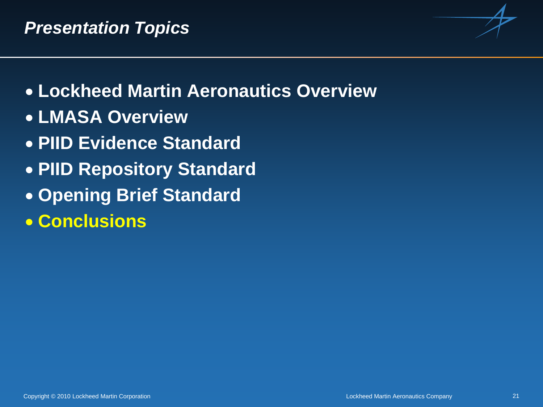

- **Lockheed Martin Aeronautics Overview**
- **LMASA Overview**
- **PIID Evidence Standard**
- **PIID Repository Standard**
- **Opening Brief Standard**
- **Conclusions**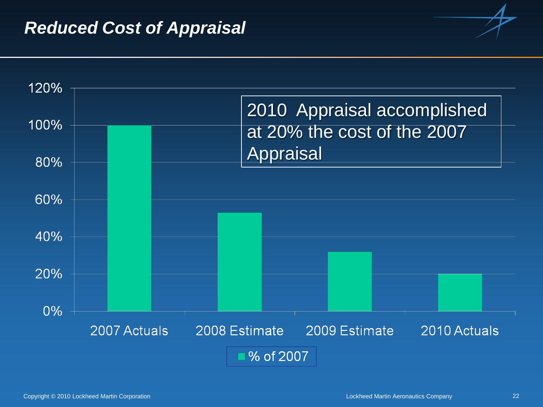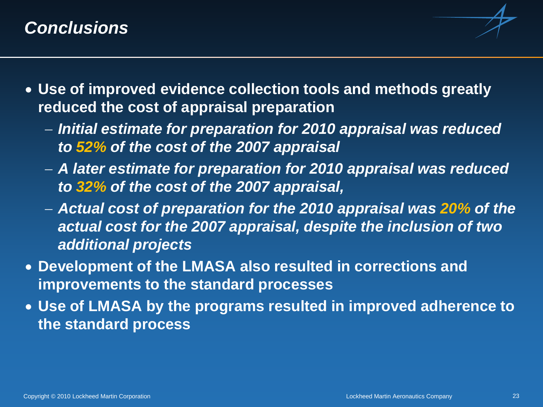#### *Conclusions*

- 
- **Use of improved evidence collection tools and methods greatly reduced the cost of appraisal preparation**
	- − *Initial estimate for preparation for 2010 appraisal was reduced to 52% of the cost of the 2007 appraisal*
	- − *A later estimate for preparation for 2010 appraisal was reduced to 32% of the cost of the 2007 appraisal,*
	- − *Actual cost of preparation for the 2010 appraisal was 20% of the actual cost for the 2007 appraisal, despite the inclusion of two additional projects*
- **Development of the LMASA also resulted in corrections and improvements to the standard processes**
- **Use of LMASA by the programs resulted in improved adherence to the standard process**